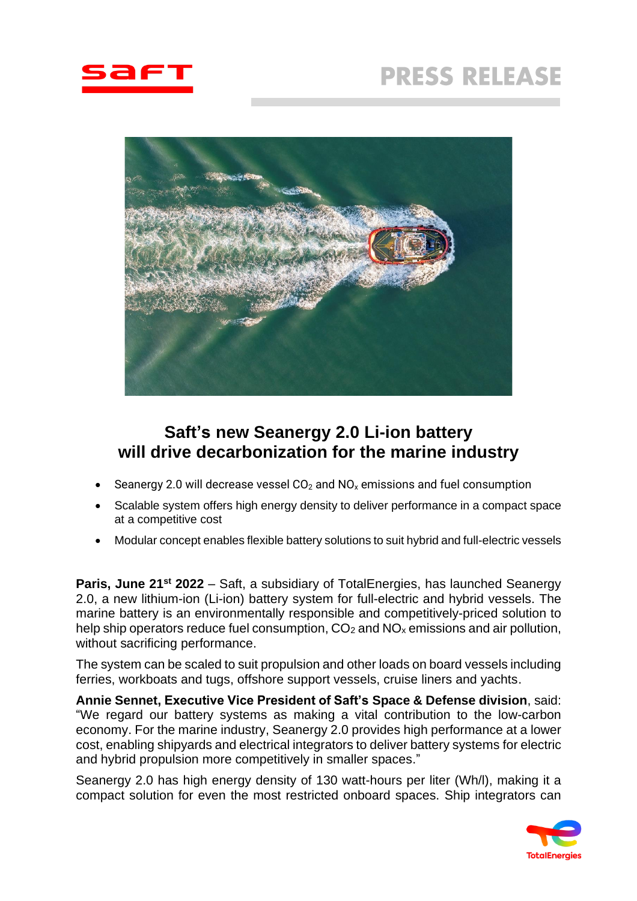



# **Saft's new Seanergy 2.0 Li-ion battery will drive decarbonization for the marine industry**

- Seanergy 2.0 will decrease vessel  $CO<sub>2</sub>$  and  $NO<sub>x</sub>$  emissions and fuel consumption
- Scalable system offers high energy density to deliver performance in a compact space at a competitive cost
- Modular concept enables flexible battery solutions to suit hybrid and full-electric vessels

**Paris, June 21st 2022** – Saft, a subsidiary of TotalEnergies, has launched Seanergy 2.0, a new lithium-ion (Li-ion) battery system for full-electric and hybrid vessels. The marine battery is an environmentally responsible and competitively-priced solution to help ship operators reduce fuel consumption,  $CO<sub>2</sub>$  and  $NO<sub>x</sub>$  emissions and air pollution, without sacrificing performance.

The system can be scaled to suit propulsion and other loads on board vessels including ferries, workboats and tugs, offshore support vessels, cruise liners and yachts.

**Annie Sennet, Executive Vice President of Saft's Space & Defense division**, said: "We regard our battery systems as making a vital contribution to the low-carbon economy. For the marine industry, Seanergy 2.0 provides high performance at a lower cost, enabling shipyards and electrical integrators to deliver battery systems for electric and hybrid propulsion more competitively in smaller spaces."

Seanergy 2.0 has high energy density of 130 watt-hours per liter (Wh/l), making it a compact solution for even the most restricted onboard spaces. Ship integrators can